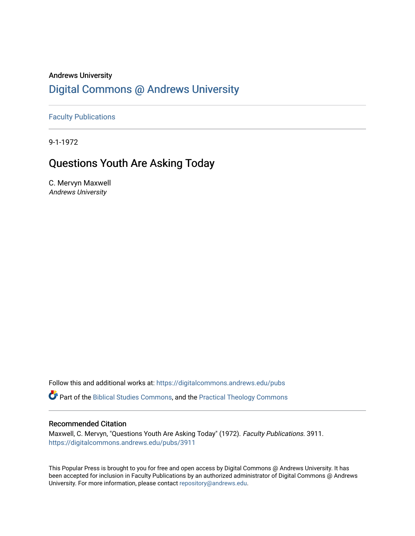### Andrews University [Digital Commons @ Andrews University](https://digitalcommons.andrews.edu/)

[Faculty Publications](https://digitalcommons.andrews.edu/pubs)

9-1-1972

## Questions Youth Are Asking Today

C. Mervyn Maxwell Andrews University

Follow this and additional works at: [https://digitalcommons.andrews.edu/pubs](https://digitalcommons.andrews.edu/pubs?utm_source=digitalcommons.andrews.edu%2Fpubs%2F3911&utm_medium=PDF&utm_campaign=PDFCoverPages) 

Part of the [Biblical Studies Commons,](http://network.bepress.com/hgg/discipline/539?utm_source=digitalcommons.andrews.edu%2Fpubs%2F3911&utm_medium=PDF&utm_campaign=PDFCoverPages) and the [Practical Theology Commons](http://network.bepress.com/hgg/discipline/1186?utm_source=digitalcommons.andrews.edu%2Fpubs%2F3911&utm_medium=PDF&utm_campaign=PDFCoverPages) 

#### Recommended Citation

Maxwell, C. Mervyn, "Questions Youth Are Asking Today" (1972). Faculty Publications. 3911. [https://digitalcommons.andrews.edu/pubs/3911](https://digitalcommons.andrews.edu/pubs/3911?utm_source=digitalcommons.andrews.edu%2Fpubs%2F3911&utm_medium=PDF&utm_campaign=PDFCoverPages) 

This Popular Press is brought to you for free and open access by Digital Commons @ Andrews University. It has been accepted for inclusion in Faculty Publications by an authorized administrator of Digital Commons @ Andrews University. For more information, please contact [repository@andrews.edu](mailto:repository@andrews.edu).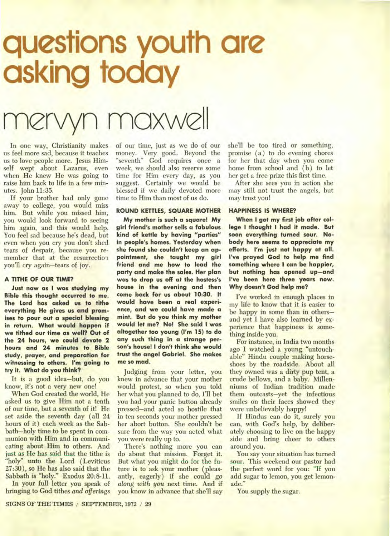# **questions youth are asking today**

## nervyn maxwell

In one way, Christianity makes us feel more sad, because it teaches us to love people more. Jesus Himself wept about Lazarus, even when He knew He was going to raise him back to life in a few minutes. John 11:35.

If your brother had only gone away to college, you would miss him. But while you missed him, you would look forward to seeing him again, and this would help. You feel sad because he's dead, but even when you cry you don't shed tears of despair, because you remember that at the resurrection you'll cry again—tears of joy.

#### **A TITHE OF OUR TIME?**

**Just now as I was studying my Bible this thought occurred to me. The Lord has asked us to tithe everything He gives us and promises to pour out a special blessing in return. What would happen if we tithed our time as well? Out of the 24 hours, we could devote 2 hours and 24 minutes to Bible study, prayer, and preparation for witnessing to others. I'm going to try it. What do you think?** 

It is a good idea—but, do you know, it's not a very new one!

When God created the world, He asked us to give Him not a tenth of our time, but a seventh of it! He set aside the seventh day ( all 24 hours of it) each week as the Sabbath—holy time to be spent in communion with Him and in communicating about Him to others. And just as He has said that the tithe is "holy" unto the Lord (Leviticus 27:30), so He has also said that the Sabbath is "holy." Exodus 20:8-11.

In your full letter you speak of bringing to God tithes *and offerings*  of our time, just as we do of our money. Very good. Beyond the "seventh" God requires once a week, we should also reserve some time for Him every day, as you suggest. Certainly we would be blessed if we daily devoted more time to Him than most of us do.

#### **ROUND KETTLES, SQUARE MOTHER**

**My mother is such a square! My girl friend's mother sells a fabulous kind of kettle by having "parties" in people's homes. Yesterday when she found she couldn't keep an appointment, she taught my girl friend and me how to lead the party and make the sales. Her plan was to drop us off at the hostess's house in the evening and then come back for us about 10:30. It would have been a real experience, and we could have made a mint. But do you think my mother would let me? No! She said I was altogether too young (I'm 15) to do any such thing in a strange person's house! I don't think she would trust the angel Gabriel. She makes me so mad.** 

Judging from your letter, you knew in advance that your mother would protest, so when you told her what you planned to do, I'll bet you had your panic button already pressed—and acted so hostile that in ten seconds your mother pressed her abort button. She couldn't be sure from the way you acted what you were really up to.

There's nothing more you can do about that mission. Forget it. But what you might do for the future is to ask your mother ( pleasantly, eagerly) if she could *go along with you* next time. And if you know in advance that she'll say she'll be too tired or something, promise (a) to do evening chores for her that day when you come home from school and (b) to let her get a free prize this first time.

After she sees you in action she may still not trust the angels, but may trust you!

#### **HAPPINESS IS WHERE?**

**When I got my first job after college I thought I had it made. But soon everything turned sour. Nobody here seems to appreciate my efforts. I'm just not happy at all. I've prayed God to help me find something where I can be happier, but nothing has opened up—and I've been here three years now. Why doesn't God help me?** 

I've worked in enough places in my life to know that it is easier to be happy in some than in others and yet I have also learned by experience that happiness is something inside you.

For instance, in India two months ago I watched a young "untouchable" Hindu couple making horseshoes by the roadside. About all they owned was a dirty pup tent, a crude bellows, and a baby. Millenniums of Indian tradition made them outcasts—yet the infectious smiles on their faces showed they were unbelievably happy!

If Hindus can do it, surely you can, with God's help, by deliberately choosing to live on the happy side and bring cheer to others around you.

You say your situation has turned sour. This weekend our pastor had the perfect word for you: "If you add sugar to lemon, you get lemonade."

You supply the sugar.

SIGNS OF THE TIMES / SEPTEMBER, 1972 / 29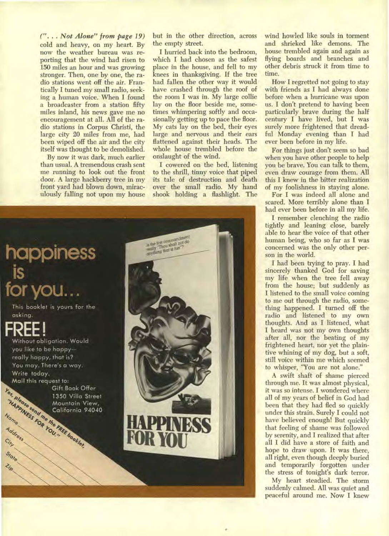*(" • . Not Alone" from page 19)*  cold and heavy, on my heart. By now the weather bureau was reporting that the wind had risen to 150 miles an hour and was growing stronger. Then, one by one, the radio stations went off the air. Frantically I tuned my small radio, seeking a human voice. When I found a broadcaster from a station fifty miles inland, his news gave me no encouragement at all. All of the radio stations in Corpus Christi, the large city 20 miles from me, had been wiped off the air and the city itself was thought to be demolished.

By now it was dark, much earlier than usual. A tremendous crash sent me running to look out the front door. A large hackberry tree in my front yard had blown down, miraculously falling not upon my house but in the other direction, across the empty street.

I hurried back into the bedroom, which I had chosen as the safest place in the house, and fell to my knees in thanksgiving. If the tree had fallen the other way it would have crashed through the roof of the room I was in. My large collie lay on the floor beside me, sometimes whimpering softly and occasionally getting up to pace the floor. My cats lay on the bed, their eyes large and nervous and their ears flattened against their heads. The whole house trembled before the onslaught of the wind.

I cowered on the bed, listening to the shrill, tinny voice that piped its tale of destruction and death over the small radio. My hand shook holding a flashlight. The



wind howled like souls in torment and shrieked like demons. The house trembled again and again as flying boards and branches and other debris struck it from time to time.

How I regretted not going to stay with friends as I had always done before when a hurricane was upon us. I don't pretend to having been particularly brave during the half century I have lived, but I was surely more frightened that dreadful Monday evening than I had ever been before in my life.

For things just don't seem so bad when you have other people to help you be brave. You can talk to them, even draw courage from them. All this I knew in the bitter realization of my foolishness in staying alone.

For I was indeed all alone and scared. More terribly alone than I had ever been before in all my life.

I remember clenching the radio tightly and leaning close, barely able to hear the voice of that other human being, who so far as I was concerned was the only other person in the world.

I had been trying to pray. I had sincerely thanked God for saving my life when the tree fell away from the house; but suddenly as I listened to the small voice coming to me out through the radio, something happened. I turned off the radio and listened to my own thoughts. And as I listened, what I heard was not my own thoughts after all, nor the beating of my frightened heart, nor yet the plaintive whining of my dog, but a soft, still voice within me which seemed to whisper, "You are not alone."

A swift shaft of shame pierced through me. It was almost physical, it was so intense. I wondered where all of my years of belief in God had been that they had fled so quickly under this strain. Surely I could not have believed enough! But quickly that feeling of shame was followed by serenity, and I realized that after all I did have a store of faith and hope to draw upon. It was there, all right, even though deeply buried and temporarily forgotten under the stress of tonight's dark terror.

My heart steadied. The storm suddenly calmed. All was quiet and peaceful around me. Now I knew